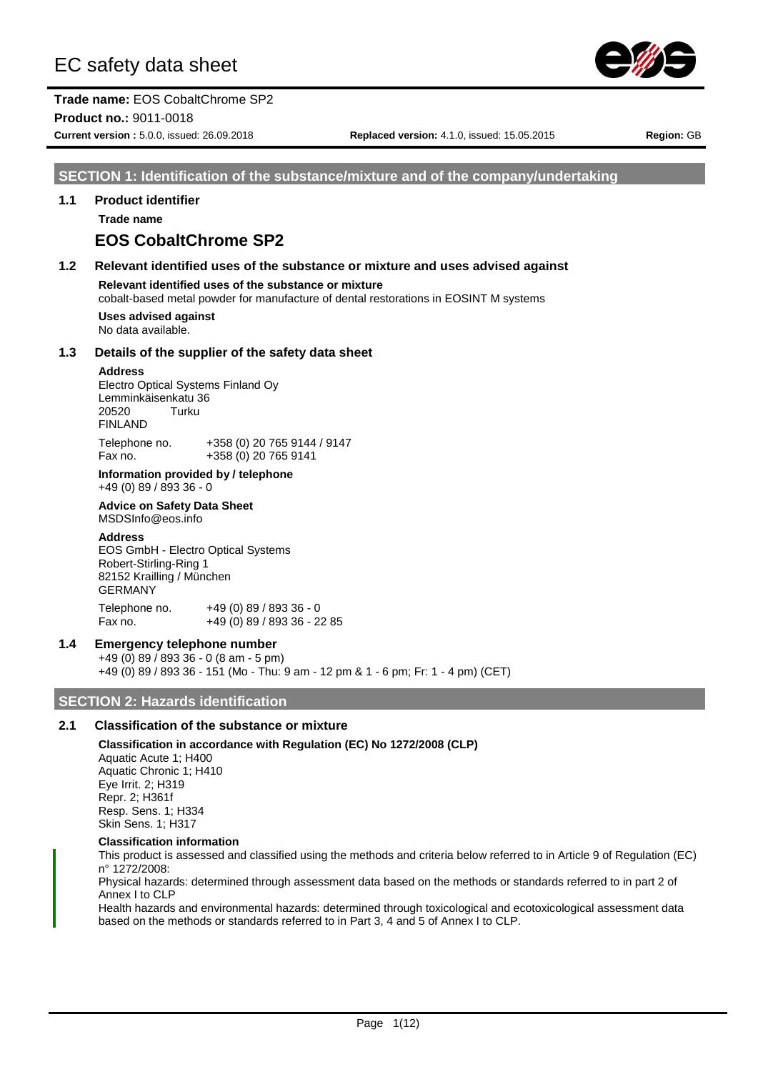

# **Trade name:** EOS CobaltChrome SP2

**Product no.:** 9011-0018

**Current version :** 5.0.0, issued: 26.09.2018 **Replaced version:** 4.1.0, issued: 15.05.2015 **Region:** GB

# **SECTION 1: Identification of the substance/mixture and of the company/undertaking**

# **1.1 Product identifier**

**Trade name**

# **EOS CobaltChrome SP2**

# **1.2 Relevant identified uses of the substance or mixture and uses advised against**

**Relevant identified uses of the substance or mixture**

cobalt-based metal powder for manufacture of dental restorations in EOSINT M systems

**Uses advised against** No data available.

#### **1.3 Details of the supplier of the safety data sheet**

#### **Address**

Electro Optical Systems Finland Oy Lemminkäisenkatu 36<br>20520 Turku 20520 FINLAND Telephone no. +358 (0) 20 765 9144 / 9147

Fax no. +358 (0) 20 765 9141 **Information provided by / telephone**

+49 (0) 89 / 893 36 - 0 **Advice on Safety Data Sheet**

MSDSInfo@eos.info

#### **Address**

EOS GmbH - Electro Optical Systems Robert-Stirling-Ring 1 82152 Krailling / München GERMANY Telephone no. +49 (0) 89 / 893 36 - 0 Fax no. +49 (0) 89 / 893 36 - 22 85

#### **1.4 Emergency telephone number**

+49 (0) 89 / 893 36 - 0 (8 am - 5 pm) +49 (0) 89 / 893 36 - 151 (Mo - Thu: 9 am - 12 pm & 1 - 6 pm; Fr: 1 - 4 pm) (CET)

# **SECTION 2: Hazards identification**

# **2.1 Classification of the substance or mixture**

#### **Classification in accordance with Regulation (EC) No 1272/2008 (CLP)**

Aquatic Acute 1; H400 Aquatic Chronic 1; H410 Eye Irrit. 2; H319 Repr. 2; H361f Resp. Sens. 1; H334 Skin Sens. 1; H317

#### **Classification information**

This product is assessed and classified using the methods and criteria below referred to in Article 9 of Regulation (EC) n° 1272/2008:

Physical hazards: determined through assessment data based on the methods or standards referred to in part 2 of Annex I to CLP

Health hazards and environmental hazards: determined through toxicological and ecotoxicological assessment data based on the methods or standards referred to in Part 3, 4 and 5 of Annex I to CLP.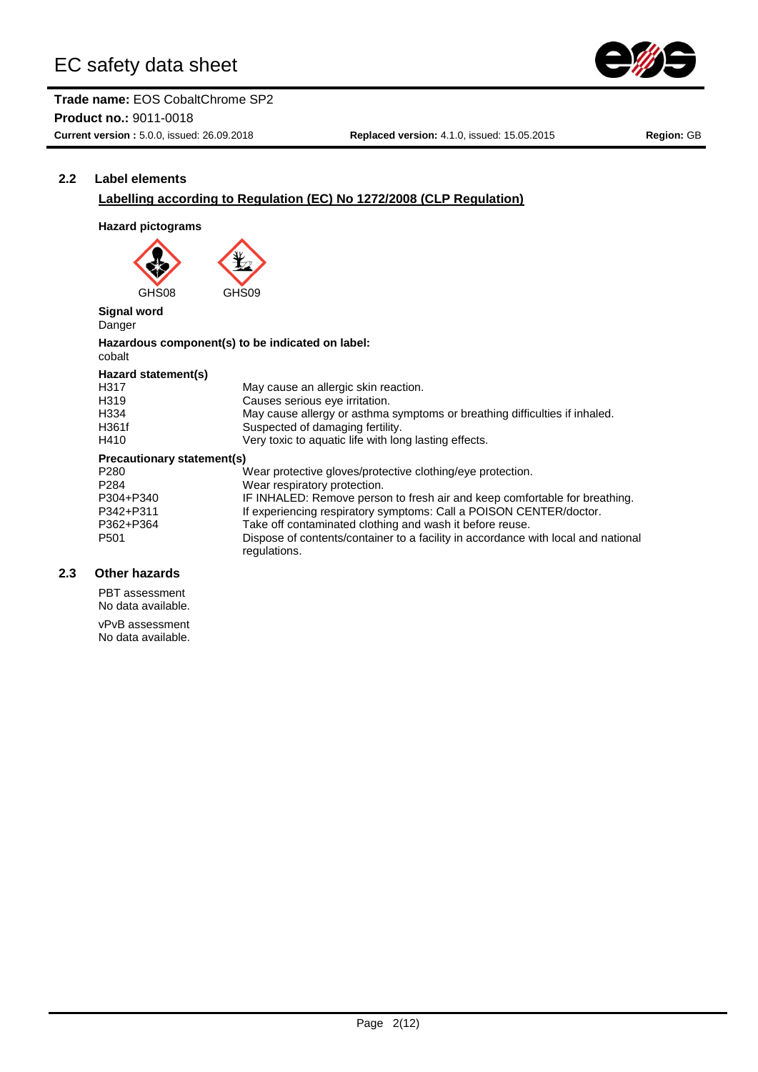



# **2.2 Label elements**

# **Labelling according to Regulation (EC) No 1272/2008 (CLP Regulation)**

# **Hazard pictograms**

GHS<sub>08</sub>

**Signal word** Danger

#### **Hazardous component(s) to be indicated on label:** cobalt

#### **Hazard statement(s)** H317 May cause an allergic skin reaction.<br>H319 Causes serious eve irritation. Causes serious eye irritation. H334 May cause allergy or asthma symptoms or breathing difficulties if inhaled. H361f Suspected of damaging fertility.<br>H410 Serv toxic to aquatic life with lor Very toxic to aquatic life with long lasting effects. **Precautionary statement(s)** P280 Wear protective gloves/protective clothing/eye protection.<br>P284 Wear respiratory protection. P284 Wear respiratory protection.<br>
P304+P340 IF INHALED: Remove perso P304+P340 IF INHALED: Remove person to fresh air and keep comfortable for breathing.<br>P342+P311 If experiencing respiratory symptoms: Call a POISON CENTER/doctor. If experiencing respiratory symptoms: Call a POISON CENTER/doctor. P362+P364 Take off contaminated clothing and wash it before reuse.<br>P501 Dispose of contents/container to a facility in accordance v Dispose of contents/container to a facility in accordance with local and national regulations.

# **2.3 Other hazards**

PBT assessment No data available. vPvB assessment No data available.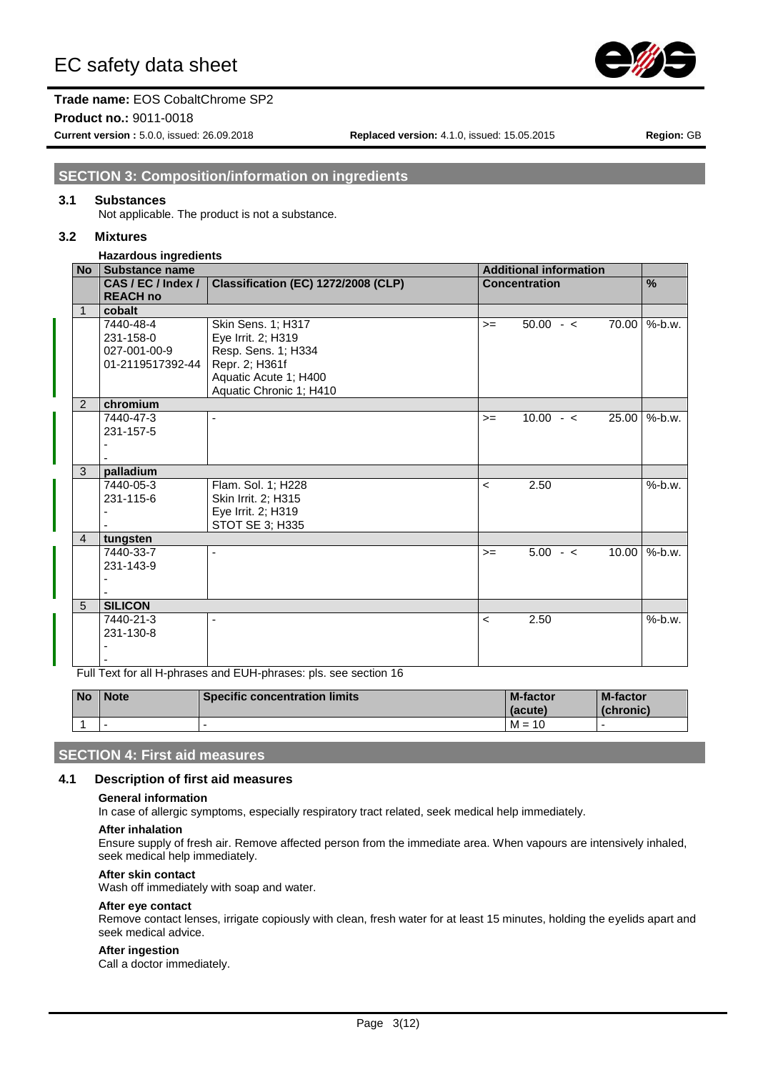

## **Trade name:** EOS CobaltChrome SP2

**Product no.:** 9011-0018

**Current version :** 5.0.0, issued: 26.09.2018 **Replaced version:** 4.1.0, issued: 15.05.2015 **Region:** GB

# **SECTION 3: Composition/information on ingredients**

#### **3.1 Substances**

Not applicable. The product is not a substance.

#### **3.2 Mixtures**

#### **Hazardous ingredients**

| <b>No</b>      | <b>Substance name</b> |                                     |                          | <b>Additional information</b> |       |           |
|----------------|-----------------------|-------------------------------------|--------------------------|-------------------------------|-------|-----------|
|                | CAS/EC/Index/         | Classification (EC) 1272/2008 (CLP) |                          | <b>Concentration</b>          |       | %         |
|                | <b>REACH no</b>       |                                     |                          |                               |       |           |
| $\mathbf{1}$   | cobalt                |                                     |                          |                               |       |           |
|                | 7440-48-4             | Skin Sens. 1; H317                  | $>=$                     | $50.00 - c$                   | 70.00 | $%$ -b.w. |
|                | 231-158-0             | Eye Irrit. 2; H319                  |                          |                               |       |           |
|                | 027-001-00-9          | Resp. Sens. 1; H334                 |                          |                               |       |           |
|                | 01-2119517392-44      | Repr. 2; H361f                      |                          |                               |       |           |
|                |                       | Aquatic Acute 1; H400               |                          |                               |       |           |
|                |                       | Aquatic Chronic 1; H410             |                          |                               |       |           |
| 2              | chromium              |                                     |                          |                               |       |           |
|                | 7440-47-3             |                                     | $>=$                     | $10.00 - c$                   | 25.00 | $%$ -b.w. |
|                | 231-157-5             |                                     |                          |                               |       |           |
|                |                       |                                     |                          |                               |       |           |
|                |                       |                                     |                          |                               |       |           |
| 3              | palladium             |                                     |                          |                               |       |           |
|                | 7440-05-3             | Flam. Sol. 1; H228                  | $\prec$                  | 2.50                          |       | %-b.w.    |
|                | 231-115-6             | Skin Irrit. 2; H315                 |                          |                               |       |           |
|                |                       | Eye Irrit. 2; H319                  |                          |                               |       |           |
|                |                       | STOT SE 3; H335                     |                          |                               |       |           |
| $\overline{4}$ | tungsten              |                                     |                          |                               |       |           |
|                | 7440-33-7             |                                     | $>=$                     | $5.00 - c$                    | 10.00 | %-b.w.    |
|                | 231-143-9             |                                     |                          |                               |       |           |
|                |                       |                                     |                          |                               |       |           |
|                |                       |                                     |                          |                               |       |           |
| 5              | <b>SILICON</b>        |                                     |                          |                               |       |           |
|                | 7440-21-3             | ٠                                   | $\overline{\phantom{a}}$ | 2.50                          |       | $%$ -b.w. |
|                | 231-130-8             |                                     |                          |                               |       |           |
|                |                       |                                     |                          |                               |       |           |
|                |                       |                                     |                          |                               |       |           |

Full Text for all H-phrases and EUH-phrases: pls. see section 16

| <b>No</b> | <b>Note</b>              | <b>Specific concentration limits</b> | <b>M-factor</b><br>(acute) | <b>M-factor</b><br>(chronic) |
|-----------|--------------------------|--------------------------------------|----------------------------|------------------------------|
|           | $\overline{\phantom{0}}$ |                                      | $M =$<br>10                |                              |

# **SECTION 4: First aid measures**

#### **4.1 Description of first aid measures**

#### **General information**

In case of allergic symptoms, especially respiratory tract related, seek medical help immediately.

#### **After inhalation**

Ensure supply of fresh air. Remove affected person from the immediate area. When vapours are intensively inhaled, seek medical help immediately.

#### **After skin contact**

Wash off immediately with soap and water.

#### **After eye contact**

Remove contact lenses, irrigate copiously with clean, fresh water for at least 15 minutes, holding the eyelids apart and seek medical advice.

#### **After ingestion**

Call a doctor immediately.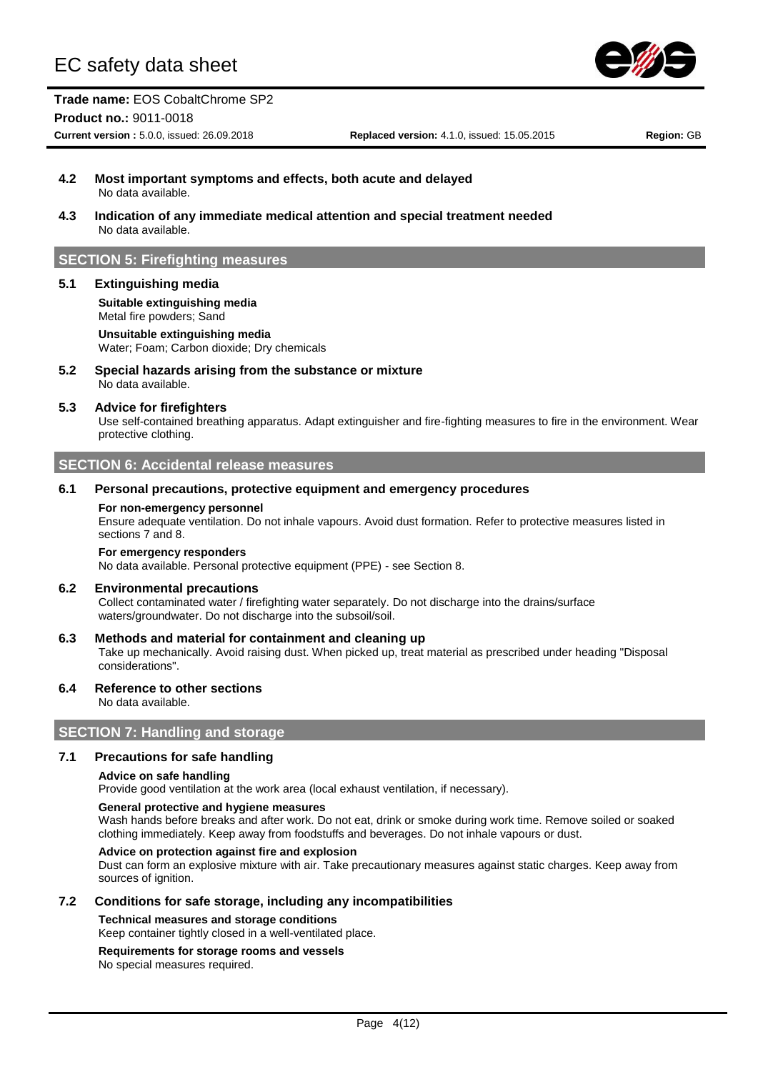

# **Trade name:** EOS CobaltChrome SP2

#### **Product no.:** 9011-0018

**Current version :** 5.0.0, issued: 26.09.2018 **Replaced version:** 4.1.0, issued: 15.05.2015 **Region:** GB

- **4.2 Most important symptoms and effects, both acute and delayed** No data available.
- **4.3 Indication of any immediate medical attention and special treatment needed** No data available.

# **SECTION 5: Firefighting measures**

#### **5.1 Extinguishing media**

**Suitable extinguishing media** Metal fire powders; Sand **Unsuitable extinguishing media**

Water; Foam; Carbon dioxide; Dry chemicals

**5.2 Special hazards arising from the substance or mixture** No data available.

#### **5.3 Advice for firefighters**

Use self-contained breathing apparatus. Adapt extinguisher and fire-fighting measures to fire in the environment. Wear protective clothing.

#### **SECTION 6: Accidental release measures**

#### **6.1 Personal precautions, protective equipment and emergency procedures**

#### **For non-emergency personnel**

Ensure adequate ventilation. Do not inhale vapours. Avoid dust formation. Refer to protective measures listed in sections 7 and 8.

#### **For emergency responders**

No data available. Personal protective equipment (PPE) - see Section 8.

#### **6.2 Environmental precautions**

Collect contaminated water / firefighting water separately. Do not discharge into the drains/surface waters/groundwater. Do not discharge into the subsoil/soil.

#### **6.3 Methods and material for containment and cleaning up**

Take up mechanically. Avoid raising dust. When picked up, treat material as prescribed under heading "Disposal considerations".

#### **6.4 Reference to other sections**

No data available.

## **SECTION 7: Handling and storage**

#### **7.1 Precautions for safe handling**

#### **Advice on safe handling**

Provide good ventilation at the work area (local exhaust ventilation, if necessary).

#### **General protective and hygiene measures**

Wash hands before breaks and after work. Do not eat, drink or smoke during work time. Remove soiled or soaked clothing immediately. Keep away from foodstuffs and beverages. Do not inhale vapours or dust.

#### **Advice on protection against fire and explosion**

Dust can form an explosive mixture with air. Take precautionary measures against static charges. Keep away from sources of ignition.

#### **7.2 Conditions for safe storage, including any incompatibilities**

**Technical measures and storage conditions**

#### Keep container tightly closed in a well-ventilated place.

# **Requirements for storage rooms and vessels**

No special measures required.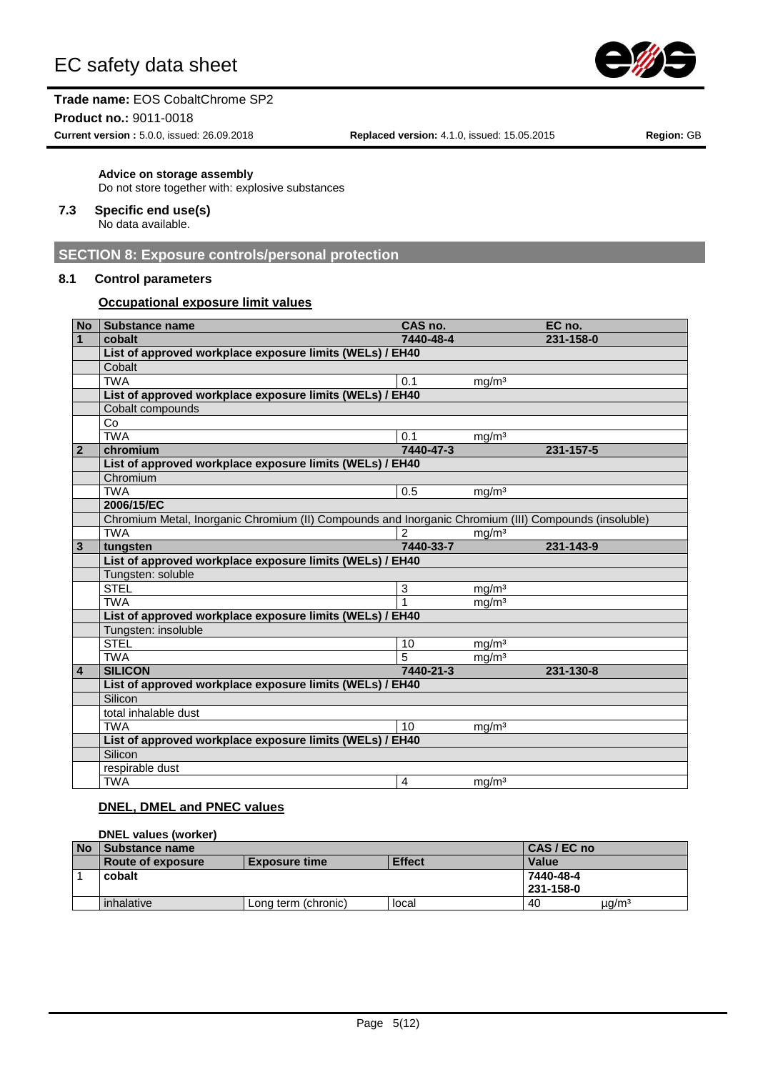

#### **Product no.:** 9011-0018

**Current version :** 5.0.0, issued: 26.09.2018 **Replaced version:** 4.1.0, issued: 15.05.2015 **Region:** GB

# **Advice on storage assembly**

Do not store together with: explosive substances

#### **7.3 Specific end use(s)**

No data available.

# **SECTION 8: Exposure controls/personal protection**

## **8.1 Control parameters**

#### **Occupational exposure limit values**

| <b>No</b>      | Substance name                                                                                       | CAS no.        |                   | EC no.    |
|----------------|------------------------------------------------------------------------------------------------------|----------------|-------------------|-----------|
| $\mathbf{1}$   | cobalt                                                                                               | 7440-48-4      |                   | 231-158-0 |
|                | List of approved workplace exposure limits (WELs) / EH40                                             |                |                   |           |
|                | Cobalt                                                                                               |                |                   |           |
|                | <b>TWA</b>                                                                                           | 0.1            | mg/m <sup>3</sup> |           |
|                | List of approved workplace exposure limits (WELs) / EH40                                             |                |                   |           |
|                | Cobalt compounds                                                                                     |                |                   |           |
|                | Co                                                                                                   |                |                   |           |
|                | <b>TWA</b>                                                                                           | 0.1            | $mg/m^3$          |           |
| $\mathbf{2}$   | chromium                                                                                             | 7440-47-3      |                   | 231-157-5 |
|                | List of approved workplace exposure limits (WELs) / EH40                                             |                |                   |           |
|                | Chromium                                                                                             |                |                   |           |
|                | <b>TWA</b>                                                                                           | 0.5            | mg/m <sup>3</sup> |           |
|                | 2006/15/EC                                                                                           |                |                   |           |
|                | Chromium Metal, Inorganic Chromium (II) Compounds and Inorganic Chromium (III) Compounds (insoluble) |                |                   |           |
|                | <b>TWA</b>                                                                                           | $\overline{2}$ | mg/m <sup>3</sup> |           |
| $\mathbf{3}$   | tungsten                                                                                             | 7440-33-7      |                   | 231-143-9 |
|                | List of approved workplace exposure limits (WELs) / EH40                                             |                |                   |           |
|                | Tungsten: soluble                                                                                    |                |                   |           |
|                | <b>STEL</b>                                                                                          | 3              | mg/m <sup>3</sup> |           |
|                | <b>TWA</b>                                                                                           | 1              | mg/m <sup>3</sup> |           |
|                | List of approved workplace exposure limits (WELs) / EH40                                             |                |                   |           |
|                | Tungsten: insoluble                                                                                  |                |                   |           |
|                | <b>STEL</b>                                                                                          | 10             | mq/m <sup>3</sup> |           |
|                | <b>TWA</b>                                                                                           | 5              | mg/m <sup>3</sup> |           |
| $\overline{4}$ | <b>SILICON</b>                                                                                       | 7440-21-3      |                   | 231-130-8 |
|                | List of approved workplace exposure limits (WELs) / EH40                                             |                |                   |           |
|                | Silicon                                                                                              |                |                   |           |
|                | total inhalable dust                                                                                 |                |                   |           |
|                | <b>TWA</b>                                                                                           | 10             | mg/m <sup>3</sup> |           |
|                | List of approved workplace exposure limits (WELs) / EH40                                             |                |                   |           |
|                | Silicon                                                                                              |                |                   |           |
|                | respirable dust                                                                                      |                |                   |           |
|                | <b>TWA</b>                                                                                           | 4              | mg/m <sup>3</sup> |           |

## **DNEL, DMEL and PNEC values**

|           | <b>DNEL values (worker)</b> |                      |               |              |  |  |
|-----------|-----------------------------|----------------------|---------------|--------------|--|--|
| <b>No</b> | Substance name              |                      | CAS / EC no   |              |  |  |
|           | <b>Route of exposure</b>    | <b>Exposure time</b> | <b>Effect</b> | <b>Value</b> |  |  |
|           | cobalt                      |                      |               | 7440-48-4    |  |  |
|           |                             |                      |               | 231-158-0    |  |  |
|           | inhalative                  | Long term (chronic)  | local         | µg/mª<br>40  |  |  |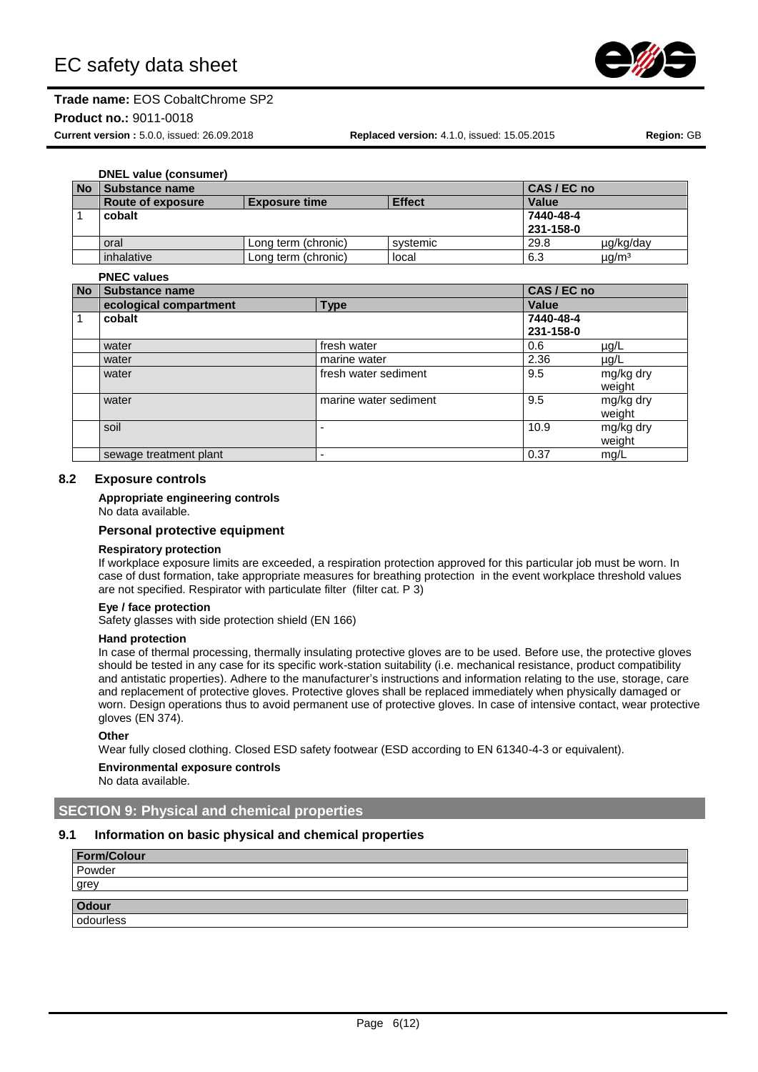

#### **Product no.:** 9011-0018

**Current version :** 5.0.0, issued: 26.09.2018 **Replaced version:** 4.1.0, issued: 15.05.2015 **Region:** GB

# **DNEL value (consumer)**

| l No | 1 Substance name  |                      |               | CAS / EC no  |                   |
|------|-------------------|----------------------|---------------|--------------|-------------------|
|      | Route of exposure | <b>Exposure time</b> | <b>Effect</b> | <b>Value</b> |                   |
|      | cobalt            |                      |               | 7440-48-4    |                   |
|      |                   |                      |               | 231-158-0    |                   |
|      | oral              | Lona term (chronic)  | systemic      | 29.8         | µg/kg/day         |
|      | inhalative        | Long term (chronic)  | local         | 6.3          | µg/m <sup>3</sup> |

#### **PNEC values**

|           | I IILV VAIUGS          |                       |              |           |
|-----------|------------------------|-----------------------|--------------|-----------|
| <b>No</b> | <b>Substance name</b>  |                       | CAS / EC no  |           |
|           | ecological compartment | <b>Type</b>           | <b>Value</b> |           |
| 1         | cobalt                 |                       | 7440-48-4    |           |
|           |                        |                       | 231-158-0    |           |
|           | water                  | fresh water           | 0.6          | $\mu$ g/L |
|           | water                  | marine water          | 2.36         | $\mu$ g/L |
|           | water                  | fresh water sediment  | 9.5          | mg/kg dry |
|           |                        |                       |              | weight    |
|           | water                  | marine water sediment | 9.5          | mg/kg dry |
|           |                        |                       |              | weight    |
|           | soil                   |                       | 10.9         | mg/kg dry |
|           |                        |                       |              | weight    |
|           | sewage treatment plant | -                     | 0.37         | mg/L      |

#### **8.2 Exposure controls**

#### **Appropriate engineering controls**

No data available.

#### **Personal protective equipment**

#### **Respiratory protection**

If workplace exposure limits are exceeded, a respiration protection approved for this particular job must be worn. In case of dust formation, take appropriate measures for breathing protection in the event workplace threshold values are not specified. Respirator with particulate filter (filter cat. P 3)

#### **Eye / face protection**

Safety glasses with side protection shield (EN 166)

#### **Hand protection**

In case of thermal processing, thermally insulating protective gloves are to be used. Before use, the protective gloves should be tested in any case for its specific work-station suitability (i.e. mechanical resistance, product compatibility and antistatic properties). Adhere to the manufacturer's instructions and information relating to the use, storage, care and replacement of protective gloves. Protective gloves shall be replaced immediately when physically damaged or worn. Design operations thus to avoid permanent use of protective gloves. In case of intensive contact, wear protective gloves (EN 374).

#### **Other**

Wear fully closed clothing. Closed ESD safety footwear (ESD according to EN 61340-4-3 or equivalent).

# **Environmental exposure controls**

No data available.

# **SECTION 9: Physical and chemical properties**

#### **9.1 Information on basic physical and chemical properties**

| <b>Form/Colour</b> |  |
|--------------------|--|
| Powder             |  |
| grey               |  |
| <b>Odour</b>       |  |
| odourless          |  |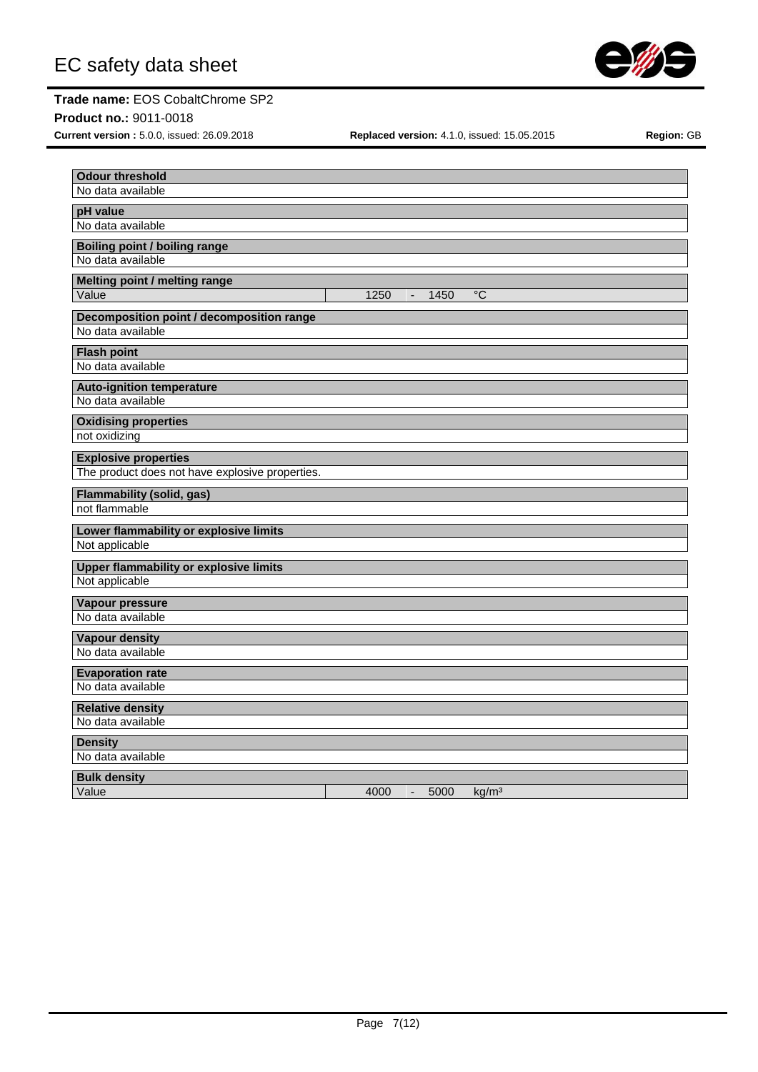

**Product no.:** 9011-0018

**Current version :** 5.0.0, issued: 26.09.2018 **Replaced version:** 4.1.0, issued: 15.05.2015 **Region:** GB

| <b>Odour threshold</b>                            |                                                     |
|---------------------------------------------------|-----------------------------------------------------|
| No data available                                 |                                                     |
|                                                   |                                                     |
| pH value<br>No data available                     |                                                     |
|                                                   |                                                     |
| <b>Boiling point / boiling range</b>              |                                                     |
| No data available                                 |                                                     |
| Melting point / melting range                     |                                                     |
| Value                                             | $\overline{C}$<br>1250<br>1450<br>$\blacksquare$    |
| Decomposition point / decomposition range         |                                                     |
| No data available                                 |                                                     |
| <b>Flash point</b>                                |                                                     |
| No data available                                 |                                                     |
|                                                   |                                                     |
| <b>Auto-ignition temperature</b>                  |                                                     |
| No data available                                 |                                                     |
| <b>Oxidising properties</b>                       |                                                     |
| not oxidizing                                     |                                                     |
| <b>Explosive properties</b>                       |                                                     |
| The product does not have explosive properties.   |                                                     |
|                                                   |                                                     |
| <b>Flammability (solid, gas)</b><br>not flammable |                                                     |
|                                                   |                                                     |
| Lower flammability or explosive limits            |                                                     |
| Not applicable                                    |                                                     |
| <b>Upper flammability or explosive limits</b>     |                                                     |
| Not applicable                                    |                                                     |
| Vapour pressure                                   |                                                     |
| No data available                                 |                                                     |
|                                                   |                                                     |
| <b>Vapour density</b><br>No data available        |                                                     |
|                                                   |                                                     |
| <b>Evaporation rate</b>                           |                                                     |
| No data available                                 |                                                     |
| <b>Relative density</b>                           |                                                     |
| No data available                                 |                                                     |
| <b>Density</b>                                    |                                                     |
| No data available                                 |                                                     |
|                                                   |                                                     |
| <b>Bulk density</b><br>Value                      | 4000<br>5000<br>kg/m <sup>3</sup><br>$\overline{a}$ |
|                                                   |                                                     |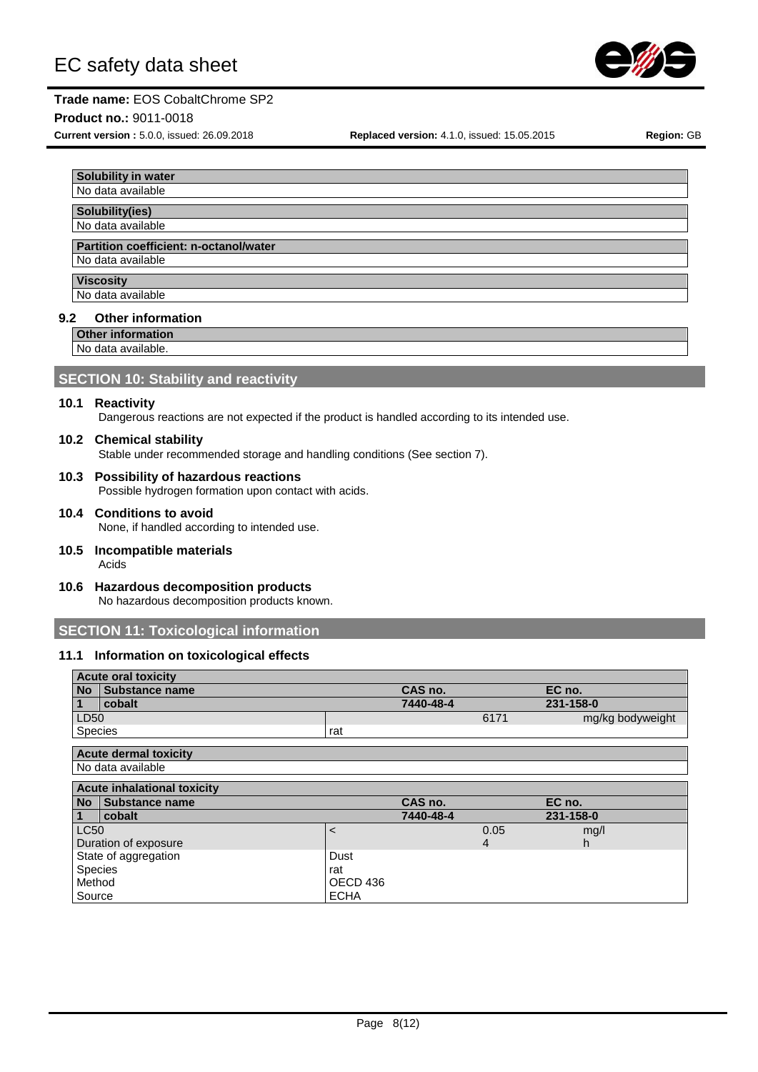

#### **Product no.:** 9011-0018

**Current version :** 5.0.0, issued: 26.09.2018 **Replaced version:** 4.1.0, issued: 15.05.2015 **Region:** GB

# **Solubility in water** No data available **Solubility(ies)** No data available

#### **Partition coefficient: n-octanol/water**

No data available

#### **Viscosity**

No data available

#### **9.2 Other information**

**Other information**

No data available.

# **SECTION 10: Stability and reactivity**

#### **10.1 Reactivity**

Dangerous reactions are not expected if the product is handled according to its intended use.

#### **10.2 Chemical stability**

Stable under recommended storage and handling conditions (See section 7).

**10.3 Possibility of hazardous reactions**

Possible hydrogen formation upon contact with acids.

- **10.4 Conditions to avoid** None, if handled according to intended use.
- **10.5 Incompatible materials** Acids
- **10.6 Hazardous decomposition products** No hazardous decomposition products known.

# **SECTION 11: Toxicological information**

#### **11.1 Information on toxicological effects**

|           | <b>Acute oral toxicity</b>   |     |           |      |                  |
|-----------|------------------------------|-----|-----------|------|------------------|
| <b>No</b> | Substance name               |     | CAS no.   |      | EC no.           |
|           | cobalt                       |     | 7440-48-4 |      | 231-158-0        |
| LD50      |                              |     |           | 6171 | mg/kg bodyweight |
| Species   |                              | rat |           |      |                  |
|           |                              |     |           |      |                  |
|           | <b>Acute dermal toxicity</b> |     |           |      |                  |
|           | No data available            |     |           |      |                  |

|             | <b>Acute inhalational toxicity</b> |             |           |      |           |  |
|-------------|------------------------------------|-------------|-----------|------|-----------|--|
|             | No Substance name                  |             | CAS no.   |      | EC no.    |  |
| $\sqrt{1}$  | cobalt                             |             | 7440-48-4 |      | 231-158-0 |  |
| <b>LC50</b> |                                    |             |           | 0.05 | mg/l      |  |
|             | Duration of exposure               |             |           | 4    | h         |  |
|             | State of aggregation               | Dust        |           |      |           |  |
| Species     |                                    | rat         |           |      |           |  |
| Method      |                                    | OECD 436    |           |      |           |  |
| Source      |                                    | <b>ECHA</b> |           |      |           |  |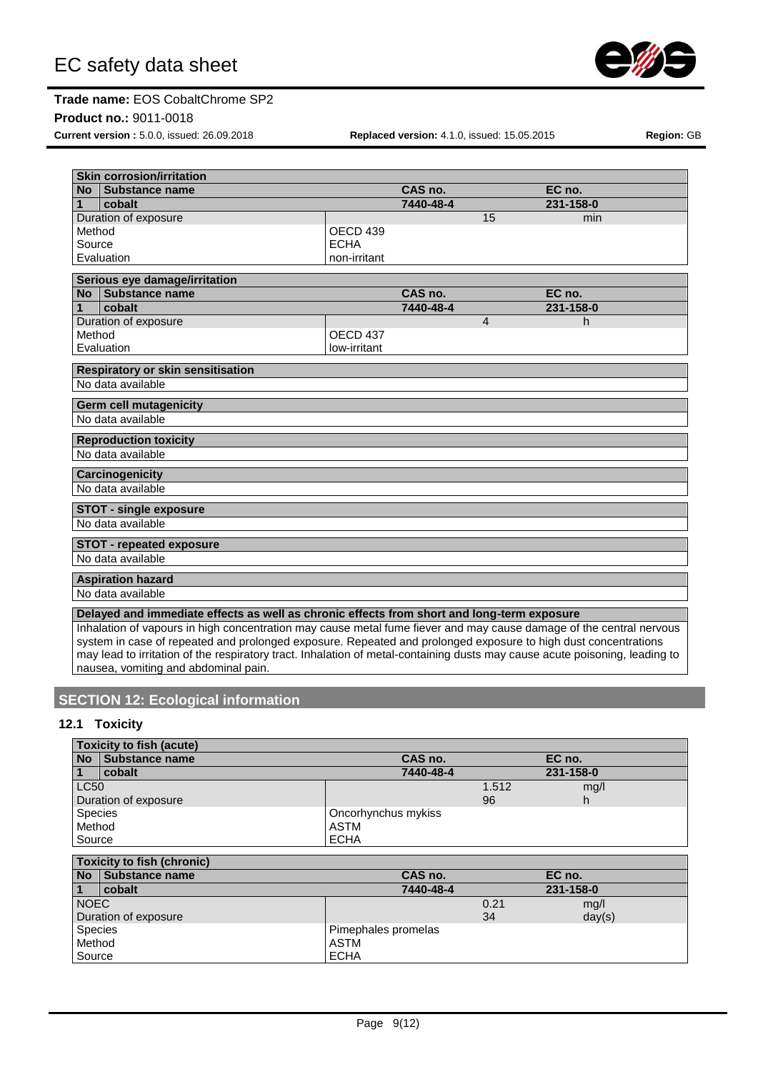

#### **Product no.:** 9011-0018

**Current version :** 5.0.0, issued: 26.09.2018 **Replaced version:** 4.1.0, issued: 15.05.2015 **Region:** GB

| <b>Skin corrosion/irritation</b> |                                                                                                                                                                                                                                       |                     |           |                |           |  |
|----------------------------------|---------------------------------------------------------------------------------------------------------------------------------------------------------------------------------------------------------------------------------------|---------------------|-----------|----------------|-----------|--|
| No.                              | Substance name                                                                                                                                                                                                                        |                     | CAS no.   |                | EC no.    |  |
| 1                                | cobalt                                                                                                                                                                                                                                |                     | 7440-48-4 |                | 231-158-0 |  |
|                                  | Duration of exposure                                                                                                                                                                                                                  |                     |           | 15             | min       |  |
| Method                           |                                                                                                                                                                                                                                       | OECD 439            |           |                |           |  |
| Source                           |                                                                                                                                                                                                                                       | <b>ECHA</b>         |           |                |           |  |
|                                  | Evaluation                                                                                                                                                                                                                            | non-irritant        |           |                |           |  |
|                                  | Serious eye damage/irritation                                                                                                                                                                                                         |                     |           |                |           |  |
| Nο                               | Substance name                                                                                                                                                                                                                        |                     | CAS no.   |                | EC no.    |  |
| 1                                | cobalt                                                                                                                                                                                                                                |                     | 7440-48-4 |                | 231-158-0 |  |
|                                  | Duration of exposure                                                                                                                                                                                                                  |                     |           | $\overline{4}$ | h         |  |
| Method                           |                                                                                                                                                                                                                                       | OECD <sub>437</sub> |           |                |           |  |
|                                  | Evaluation                                                                                                                                                                                                                            | low-irritant        |           |                |           |  |
|                                  | <b>Respiratory or skin sensitisation</b>                                                                                                                                                                                              |                     |           |                |           |  |
|                                  | No data available                                                                                                                                                                                                                     |                     |           |                |           |  |
|                                  |                                                                                                                                                                                                                                       |                     |           |                |           |  |
|                                  | <b>Germ cell mutagenicity</b>                                                                                                                                                                                                         |                     |           |                |           |  |
|                                  | No data available                                                                                                                                                                                                                     |                     |           |                |           |  |
|                                  | <b>Reproduction toxicity</b>                                                                                                                                                                                                          |                     |           |                |           |  |
|                                  | No data available                                                                                                                                                                                                                     |                     |           |                |           |  |
|                                  | Carcinogenicity                                                                                                                                                                                                                       |                     |           |                |           |  |
|                                  | No data available                                                                                                                                                                                                                     |                     |           |                |           |  |
|                                  | <b>STOT - single exposure</b>                                                                                                                                                                                                         |                     |           |                |           |  |
|                                  | No data available                                                                                                                                                                                                                     |                     |           |                |           |  |
|                                  | <b>STOT - repeated exposure</b>                                                                                                                                                                                                       |                     |           |                |           |  |
|                                  | No data available                                                                                                                                                                                                                     |                     |           |                |           |  |
|                                  | <b>Aspiration hazard</b>                                                                                                                                                                                                              |                     |           |                |           |  |
|                                  | No data available                                                                                                                                                                                                                     |                     |           |                |           |  |
|                                  | Delayed and immediate effects as well as chronic effects from short and long-term exposure                                                                                                                                            |                     |           |                |           |  |
|                                  |                                                                                                                                                                                                                                       |                     |           |                |           |  |
|                                  | Inhalation of vapours in high concentration may cause metal fume fiever and may cause damage of the central nervous<br>ustain in agas of repeated and prelepsed currence. Depeated and prelepsed currence to bigh dust consentrations |                     |           |                |           |  |

system in case of repeated and prolonged exposure. Repeated and prolonged exposure to high dust concentrations may lead to irritation of the respiratory tract. Inhalation of metal-containing dusts may cause acute poisoning, leading to nausea, vomiting and abdominal pain.

# **SECTION 12: Ecological information**

# **12.1 Toxicity**

|                | <b>Toxicity to fish (acute)</b> |                     |       |           |
|----------------|---------------------------------|---------------------|-------|-----------|
| <b>No</b>      | Substance name                  | CAS no.             |       | EC no.    |
|                | cobalt                          | 7440-48-4           |       | 231-158-0 |
| <b>LC50</b>    |                                 |                     | 1.512 | mg/l      |
|                | Duration of exposure            |                     | 96    | n         |
| <b>Species</b> |                                 | Oncorhynchus mykiss |       |           |
| Method         |                                 | ASTM                |       |           |
| Source         |                                 | <b>ECHA</b>         |       |           |

| <b>Toxicity to fish (chronic)</b> |                   |                     |      |           |  |  |
|-----------------------------------|-------------------|---------------------|------|-----------|--|--|
|                                   | No Substance name | CAS no.             |      | EC no.    |  |  |
|                                   | cobalt            | 7440-48-4           |      | 231-158-0 |  |  |
| <b>NOEC</b>                       |                   |                     | 0.21 | mg/l      |  |  |
| Duration of exposure              |                   |                     | 34   | day(s)    |  |  |
| Species                           |                   | Pimephales promelas |      |           |  |  |
| Method                            |                   | <b>ASTM</b>         |      |           |  |  |
| Source                            |                   | <b>ECHA</b>         |      |           |  |  |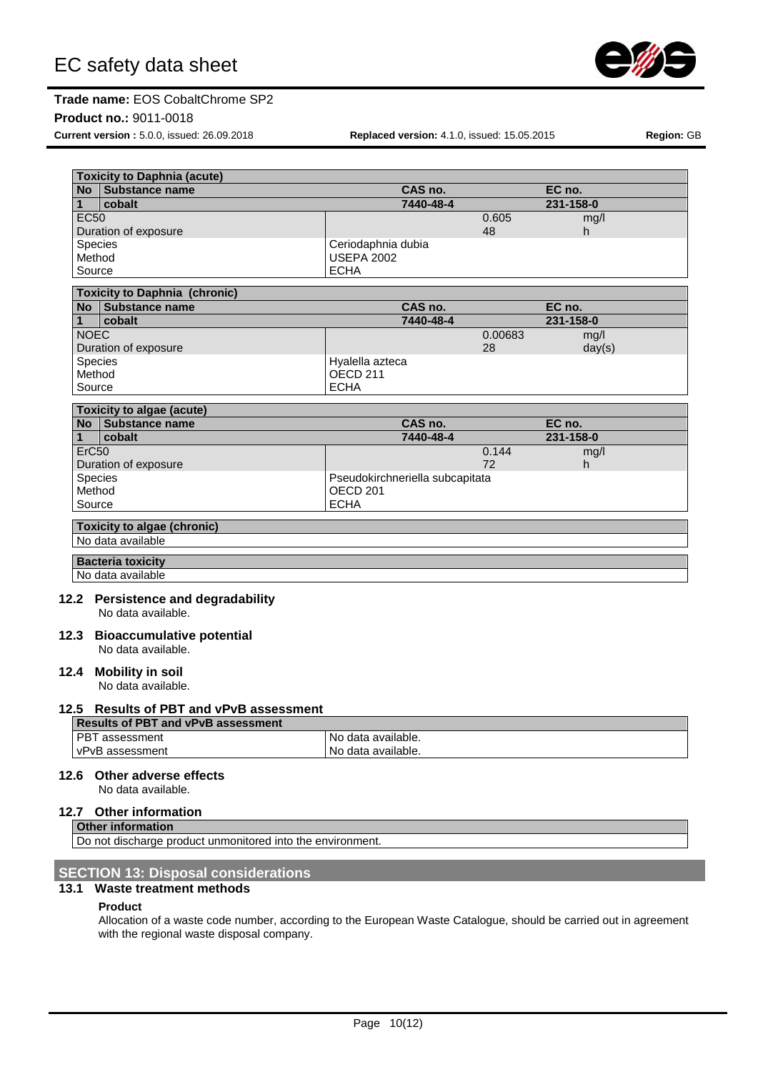

#### **Product no.:** 9011-0018

**Current version :** 5.0.0, issued: 26.09.2018 **Replaced version:** 4.1.0, issued: 15.05.2015 **Region:** GB

|                | No Substance name                         |                                  | CAS no.                         |         | EC no.    |  |
|----------------|-------------------------------------------|----------------------------------|---------------------------------|---------|-----------|--|
| $\mathbf{1}$   | cobalt                                    |                                  | 7440-48-4                       |         | 231-158-0 |  |
| <b>EC50</b>    |                                           |                                  |                                 | 0.605   | mg/l      |  |
|                | Duration of exposure                      |                                  |                                 | 48      | h         |  |
| <b>Species</b> |                                           | Ceriodaphnia dubia               |                                 |         |           |  |
| Method         |                                           | <b>USEPA 2002</b><br><b>ECHA</b> |                                 |         |           |  |
| Source         |                                           |                                  |                                 |         |           |  |
|                | <b>Toxicity to Daphnia (chronic)</b>      |                                  |                                 |         |           |  |
|                | No Substance name                         |                                  | CAS no.                         |         | EC no.    |  |
| 1              | cobalt                                    |                                  | 7440-48-4                       |         | 231-158-0 |  |
| <b>NOEC</b>    |                                           |                                  |                                 | 0.00683 | mg/l      |  |
|                | Duration of exposure                      |                                  |                                 | 28      | day(s)    |  |
| <b>Species</b> |                                           | Hyalella azteca                  |                                 |         |           |  |
| Method         |                                           | OECD <sub>211</sub>              |                                 |         |           |  |
| Source         |                                           | <b>ECHA</b>                      |                                 |         |           |  |
|                | <b>Toxicity to algae (acute)</b>          |                                  |                                 |         |           |  |
|                | No Substance name                         |                                  | CAS no.                         |         | EC no.    |  |
| $\mathbf{1}$   | cobalt                                    |                                  | 7440-48-4                       |         | 231-158-0 |  |
| ErC50          |                                           |                                  |                                 | 0.144   | mg/l      |  |
|                | Duration of exposure                      |                                  |                                 | 72      | h.        |  |
| Species        |                                           |                                  | Pseudokirchneriella subcapitata |         |           |  |
| Method         |                                           | OECD <sub>201</sub>              |                                 |         |           |  |
| Source         |                                           | <b>ECHA</b>                      |                                 |         |           |  |
|                | <b>Toxicity to algae (chronic)</b>        |                                  |                                 |         |           |  |
|                | No data available                         |                                  |                                 |         |           |  |
|                |                                           |                                  |                                 |         |           |  |
|                | <b>Bacteria toxicity</b>                  |                                  |                                 |         |           |  |
|                | No data available                         |                                  |                                 |         |           |  |
|                | 12.2 Persistence and degradability        |                                  |                                 |         |           |  |
|                | No data available.                        |                                  |                                 |         |           |  |
|                |                                           |                                  |                                 |         |           |  |
|                | 12.3 Bioaccumulative potential            |                                  |                                 |         |           |  |
|                | No data available.                        |                                  |                                 |         |           |  |
|                | 12.4 Mobility in soil                     |                                  |                                 |         |           |  |
|                | No data available.                        |                                  |                                 |         |           |  |
|                |                                           |                                  |                                 |         |           |  |
|                | 12.5 Results of PBT and vPvB assessment   |                                  |                                 |         |           |  |
|                | <b>Results of PBT and vPvB assessment</b> |                                  |                                 |         |           |  |
|                | PBT assessment                            | No data available.               |                                 |         |           |  |
|                | vPvB assessment                           | No data available.               |                                 |         |           |  |
|                |                                           |                                  |                                 |         |           |  |
|                | 12.6 Other adverse effects                |                                  |                                 |         |           |  |
|                | No data available.                        |                                  |                                 |         |           |  |

#### **12.7 Other information**

**Other information**

Do not discharge product unmonitored into the environment

# **SECTION 13: Disposal considerations**

#### **13.1 Waste treatment methods**

#### **Product**

Allocation of a waste code number, according to the European Waste Catalogue, should be carried out in agreement with the regional waste disposal company.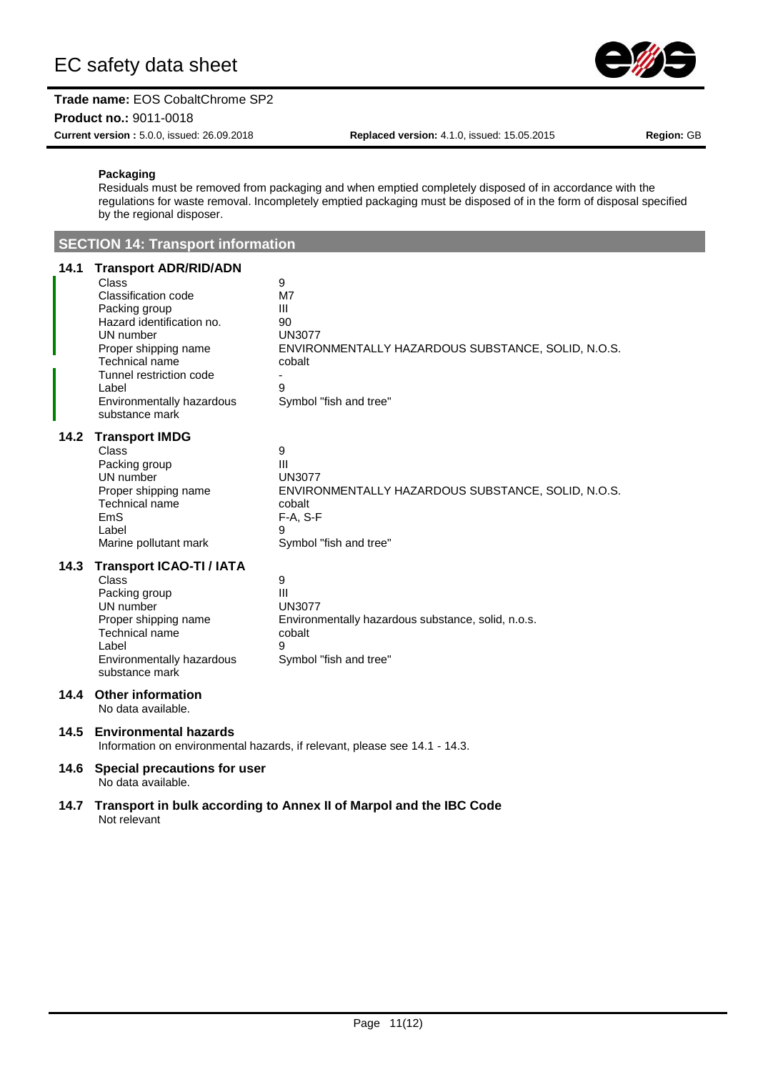

**Product no.:** 9011-0018

**Current version :** 5.0.0, issued: 26.09.2018 **Replaced version:** 4.1.0, issued: 15.05.2015 **Region:** GB

#### **Packaging**

Residuals must be removed from packaging and when emptied completely disposed of in accordance with the regulations for waste removal. Incompletely emptied packaging must be disposed of in the form of disposal specified by the regional disposer.

**SECTION 14: Transport information**

# **14.1 Transport ADR/RID/ADN**

| 14.1 | <b>Transport ADR/RID/ADN</b><br><b>Class</b><br><b>Classification code</b><br>Packing group<br>Hazard identification no.<br>UN number<br>Proper shipping name<br>Technical name<br>Tunnel restriction code<br>Label<br>Environmentally hazardous<br>substance mark | 9<br>M7<br>Ш<br>90<br><b>UN3077</b><br>ENVIRONMENTALLY HAZARDOUS SUBSTANCE, SOLID, N.O.S.<br>cobalt<br>9<br>Symbol "fish and tree"     |  |  |
|------|--------------------------------------------------------------------------------------------------------------------------------------------------------------------------------------------------------------------------------------------------------------------|----------------------------------------------------------------------------------------------------------------------------------------|--|--|
| 14.2 | <b>Transport IMDG</b><br><b>Class</b><br>Packing group<br>UN number<br>Proper shipping name<br>Technical name<br>EmS<br>Label<br>Marine pollutant mark                                                                                                             | 9<br>III<br><b>UN3077</b><br>ENVIRONMENTALLY HAZARDOUS SUBSTANCE, SOLID, N.O.S.<br>cobalt<br>$F-A, S-F$<br>9<br>Symbol "fish and tree" |  |  |
| 14.3 | <b>Transport ICAO-TI / IATA</b><br><b>Class</b><br>Packing group<br>UN number<br>Proper shipping name<br>Technical name<br>Label<br>Environmentally hazardous<br>substance mark                                                                                    | 9<br>$\mathbf{III}$<br><b>UN3077</b><br>Environmentally hazardous substance, solid, n.o.s.<br>cobalt<br>я<br>Symbol "fish and tree"    |  |  |
| 14.4 | <b>Other information</b><br>No data available.                                                                                                                                                                                                                     |                                                                                                                                        |  |  |
| 14.5 | <b>Environmental hazards</b>                                                                                                                                                                                                                                       | Information on environmental hazards, if relevant, please see 14.1 - 14.3.                                                             |  |  |
| 14.6 | Special precautions for user                                                                                                                                                                                                                                       |                                                                                                                                        |  |  |

No data available.

#### **14.7 Transport in bulk according to Annex II of Marpol and the IBC Code** Not relevant